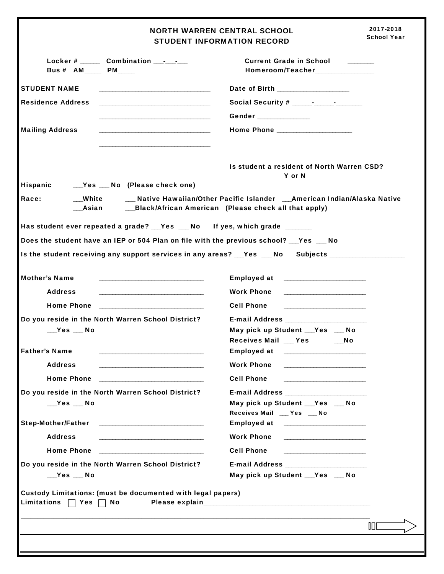2017-2018 NORTH WARREN CENTRAL SCHOOL School Year STUDENT INFORMATION RECORD Locker # \_\_\_\_\_\_ Combination \_\_\_-\_\_\_-\_\_\_ Current Grade in School \_\_\_\_\_\_\_\_ Bus # AM\_\_\_\_\_ PM\_\_\_\_\_ Homeroom/Teacher\_\_\_\_\_\_\_\_\_\_\_\_\_\_\_\_\_\_ STUDENT NAME \_\_\_\_\_\_\_\_\_\_\_\_\_\_\_\_\_\_\_\_\_\_\_\_\_\_\_\_\_\_\_\_\_\_ Date of Birth \_\_\_\_\_\_\_\_\_\_\_\_\_\_\_\_\_\_\_\_\_\_ Residence Address \_\_\_\_\_\_\_\_\_\_\_\_\_\_\_\_\_\_\_\_\_\_\_\_\_\_\_\_\_\_\_\_\_\_ Social Security # \_\_\_\_\_\_-\_\_\_\_\_\_-\_\_\_\_\_\_\_\_ Gender \_\_\_\_\_\_\_\_\_\_\_\_\_\_\_\_ Mailing Address \_\_\_\_\_\_\_\_\_\_\_\_\_\_\_\_\_\_\_\_\_\_\_\_\_\_\_\_\_\_\_\_\_\_ Home Phone \_\_\_\_\_\_\_\_\_\_\_\_\_\_\_\_\_\_\_\_\_\_\_ \_\_\_\_\_\_\_\_\_\_\_\_\_\_\_\_\_\_\_\_\_\_\_\_\_\_\_\_\_\_\_\_\_\_ Is student a resident of North Warren CSD? Y or N Hispanic \_\_\_Yes \_\_\_ No (Please check one) Race: \_\_\_\_\_\_\_\_\_White \_\_\_\_\_\_\_\_\_\_ Native Hawaiian/Other Pacific Islander \_\_\_\_American Indian/Alaska Native \_\_\_Asian \_\_\_Black/African American (Please check all that apply) Has student ever repeated a grade? \_\_Yes \_\_ No If yes, which grade \_\_\_\_\_\_\_ Does the student have an IEP or 504 Plan on file with the previous school? Fes Alo Is the student receiving any support services in any areas? Figures Theorg Subjects \_\_\_\_\_\_\_\_\_\_\_\_\_\_\_\_\_\_\_\_\_\_\_\_\_\_ Mother's Name \_\_\_\_\_\_\_\_\_\_\_\_\_\_\_\_\_\_\_\_\_\_\_\_\_\_\_\_\_\_\_\_ Employed at \_\_\_\_\_\_\_\_\_\_\_\_\_\_\_\_\_\_\_\_\_\_\_\_\_ Address \_\_\_\_\_\_\_\_\_\_\_\_\_\_\_\_\_\_\_\_\_\_\_\_\_\_\_\_\_\_\_\_ Work Phone \_\_\_\_\_\_\_\_\_\_\_\_\_\_\_\_\_\_\_\_\_\_\_\_\_ Home Phone \_\_\_\_\_\_\_\_\_\_\_\_\_\_\_\_\_\_\_\_\_\_\_\_\_\_\_\_\_\_\_\_ Cell Phone \_\_\_\_\_\_\_\_\_\_\_\_\_\_\_\_\_\_\_\_\_\_\_\_\_ Do you reside in the North Warren School District? **E-mail Address** \_\_\_\_\_\_\_ \_\_\_Yes \_\_\_ No May pick up Student \_\_\_Yes \_\_\_ No Receives Mail \_\_ Yes \_\_\_\_\_No Father's Name \_\_\_\_\_\_\_\_\_\_\_\_\_\_\_\_\_\_\_\_\_\_\_\_\_\_\_\_\_\_\_\_ Employed at \_\_\_\_\_\_\_\_\_\_\_\_\_\_\_\_\_\_\_\_\_\_\_\_\_ Address \_\_\_\_\_\_\_\_\_\_\_\_\_\_\_\_\_\_\_\_\_\_\_\_\_\_\_\_\_\_\_\_ Work Phone \_\_\_\_\_\_\_\_\_\_\_\_\_\_\_\_\_\_\_\_\_\_\_\_\_ Home Phone \_\_\_\_\_\_\_\_\_\_\_\_\_\_\_\_\_\_\_\_\_\_\_\_\_\_\_\_\_\_\_\_ Cell Phone \_\_\_\_\_\_\_\_\_\_\_\_\_\_\_\_\_\_\_\_\_\_\_\_\_ Do you reside in the North Warren School District? The E-mail Address \_\_\_Yes \_\_\_ No May pick up Student \_\_\_Yes \_\_\_ No Receives Mail \_\_\_ Yes \_\_\_ No Step-Mother/Father \_\_\_\_\_\_\_\_\_\_\_\_\_\_\_\_\_\_\_\_\_\_\_\_\_\_\_\_\_\_\_\_ Employed at \_\_\_\_\_\_\_\_\_\_\_\_\_\_\_\_\_\_\_\_\_\_\_\_\_ Address \_\_\_\_\_\_\_\_\_\_\_\_\_\_\_\_\_\_\_\_\_\_\_\_\_\_\_\_\_\_\_\_ Work Phone \_\_\_\_\_\_\_\_\_\_\_\_\_\_\_\_\_\_\_\_\_\_\_\_\_ Home Phone \_\_\_\_\_\_\_\_\_\_\_\_\_\_\_\_\_\_\_\_\_\_\_\_\_\_\_\_\_\_\_\_ Cell Phone \_\_\_\_\_\_\_\_\_\_\_\_\_\_\_\_\_\_\_\_\_\_\_\_\_ Do you reside in the North Warren School District? The E-mail Address \_\_\_\_ \_\_\_Yes \_\_\_ No May pick up Student \_\_\_Yes \_\_\_ No Custody Limitations: (must be documented with legal papers) Limitations  $\Box$  Yes  $\Box$  No Please explain\_\_\_\_\_\_\_\_\_\_  $\_$  $\blacksquare$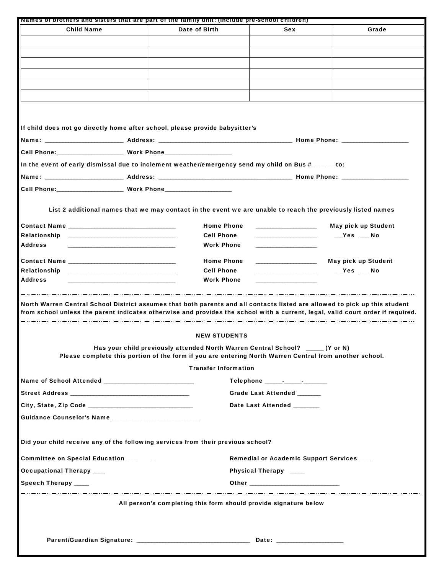| Names or prothers and sisters that are part of the ramily unit: (include pre-school children)                                                                                                                                                                                        |  |                                           |                                                                                                        |                     |  |  |  |  |
|--------------------------------------------------------------------------------------------------------------------------------------------------------------------------------------------------------------------------------------------------------------------------------------|--|-------------------------------------------|--------------------------------------------------------------------------------------------------------|---------------------|--|--|--|--|
| <b>Child Name</b>                                                                                                                                                                                                                                                                    |  | Date of Birth                             | <b>Sex</b>                                                                                             | Grade               |  |  |  |  |
|                                                                                                                                                                                                                                                                                      |  |                                           |                                                                                                        |                     |  |  |  |  |
|                                                                                                                                                                                                                                                                                      |  |                                           |                                                                                                        |                     |  |  |  |  |
|                                                                                                                                                                                                                                                                                      |  |                                           |                                                                                                        |                     |  |  |  |  |
|                                                                                                                                                                                                                                                                                      |  |                                           |                                                                                                        |                     |  |  |  |  |
|                                                                                                                                                                                                                                                                                      |  |                                           |                                                                                                        |                     |  |  |  |  |
|                                                                                                                                                                                                                                                                                      |  |                                           |                                                                                                        |                     |  |  |  |  |
|                                                                                                                                                                                                                                                                                      |  |                                           |                                                                                                        |                     |  |  |  |  |
|                                                                                                                                                                                                                                                                                      |  |                                           |                                                                                                        |                     |  |  |  |  |
|                                                                                                                                                                                                                                                                                      |  |                                           |                                                                                                        |                     |  |  |  |  |
| If child does not go directly home after school, please provide babysitter's                                                                                                                                                                                                         |  |                                           |                                                                                                        |                     |  |  |  |  |
|                                                                                                                                                                                                                                                                                      |  |                                           |                                                                                                        |                     |  |  |  |  |
|                                                                                                                                                                                                                                                                                      |  |                                           |                                                                                                        |                     |  |  |  |  |
| Cell Phone:_____________________ Work Phone_____________________                                                                                                                                                                                                                     |  |                                           |                                                                                                        |                     |  |  |  |  |
| In the event of early dismissal due to inclement weather/emergency send my child on Bus # ______ to:                                                                                                                                                                                 |  |                                           |                                                                                                        |                     |  |  |  |  |
|                                                                                                                                                                                                                                                                                      |  |                                           |                                                                                                        |                     |  |  |  |  |
|                                                                                                                                                                                                                                                                                      |  |                                           |                                                                                                        |                     |  |  |  |  |
|                                                                                                                                                                                                                                                                                      |  |                                           |                                                                                                        |                     |  |  |  |  |
| List 2 additional names that we may contact in the event we are unable to reach the previously listed names                                                                                                                                                                          |  |                                           |                                                                                                        |                     |  |  |  |  |
|                                                                                                                                                                                                                                                                                      |  |                                           |                                                                                                        |                     |  |  |  |  |
|                                                                                                                                                                                                                                                                                      |  | <b>Home Phone</b>                         | <u> 1989 - Johann Barn, fransk politik fotograf (d. 1989)</u>                                          | May pick up Student |  |  |  |  |
| Relationship                                                                                                                                                                                                                                                                         |  | <b>Cell Phone</b>                         |                                                                                                        | $Yes$ No            |  |  |  |  |
| <b>Address</b>                                                                                                                                                                                                                                                                       |  | <b>Work Phone</b>                         |                                                                                                        |                     |  |  |  |  |
|                                                                                                                                                                                                                                                                                      |  | <b>Home Phone</b>                         | the control of the control of the control of                                                           | May pick up Student |  |  |  |  |
| Relationship                                                                                                                                                                                                                                                                         |  | <b>Cell Phone</b>                         |                                                                                                        | $Yes$ $\_\_$ No     |  |  |  |  |
| <b>Address</b>                                                                                                                                                                                                                                                                       |  | <b>Work Phone</b>                         |                                                                                                        |                     |  |  |  |  |
|                                                                                                                                                                                                                                                                                      |  |                                           |                                                                                                        |                     |  |  |  |  |
| North Warren Central School District assumes that both parents and all contacts listed are allowed to pick up this student<br>from school unless the parent indicates otherwise and provides the school with a current, legal, valid court order if required.<br><b>NEW STUDENTS</b> |  |                                           |                                                                                                        |                     |  |  |  |  |
|                                                                                                                                                                                                                                                                                      |  |                                           | Has your child previously attended North Warren Central School? ______ (Y or N)                        |                     |  |  |  |  |
|                                                                                                                                                                                                                                                                                      |  |                                           | Please complete this portion of the form if you are entering North Warren Central from another school. |                     |  |  |  |  |
|                                                                                                                                                                                                                                                                                      |  | <b>Transfer Information</b>               |                                                                                                        |                     |  |  |  |  |
|                                                                                                                                                                                                                                                                                      |  |                                           |                                                                                                        |                     |  |  |  |  |
|                                                                                                                                                                                                                                                                                      |  | Grade Last Attended ______                |                                                                                                        |                     |  |  |  |  |
|                                                                                                                                                                                                                                                                                      |  |                                           |                                                                                                        |                     |  |  |  |  |
| Date Last Attended ______                                                                                                                                                                                                                                                            |  |                                           |                                                                                                        |                     |  |  |  |  |
|                                                                                                                                                                                                                                                                                      |  |                                           |                                                                                                        |                     |  |  |  |  |
| Did your child receive any of the following services from their previous school?                                                                                                                                                                                                     |  |                                           |                                                                                                        |                     |  |  |  |  |
| Committee on Special Education __                                                                                                                                                                                                                                                    |  | Remedial or Academic Support Services ___ |                                                                                                        |                     |  |  |  |  |
| <b>Occupational Therapy</b> ___                                                                                                                                                                                                                                                      |  | Physical Therapy ____                     |                                                                                                        |                     |  |  |  |  |
| Speech Therapy ____                                                                                                                                                                                                                                                                  |  |                                           |                                                                                                        |                     |  |  |  |  |
|                                                                                                                                                                                                                                                                                      |  |                                           |                                                                                                        |                     |  |  |  |  |
| All person's completing this form should provide signature below                                                                                                                                                                                                                     |  |                                           |                                                                                                        |                     |  |  |  |  |
|                                                                                                                                                                                                                                                                                      |  |                                           |                                                                                                        |                     |  |  |  |  |
|                                                                                                                                                                                                                                                                                      |  |                                           |                                                                                                        |                     |  |  |  |  |